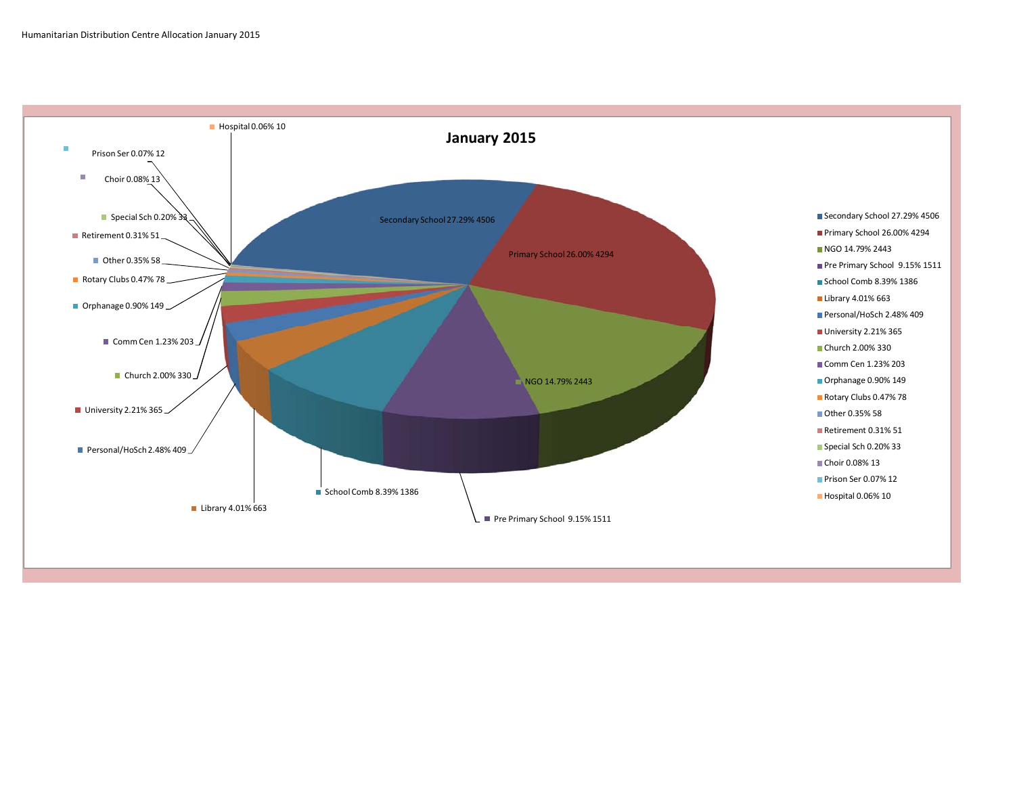